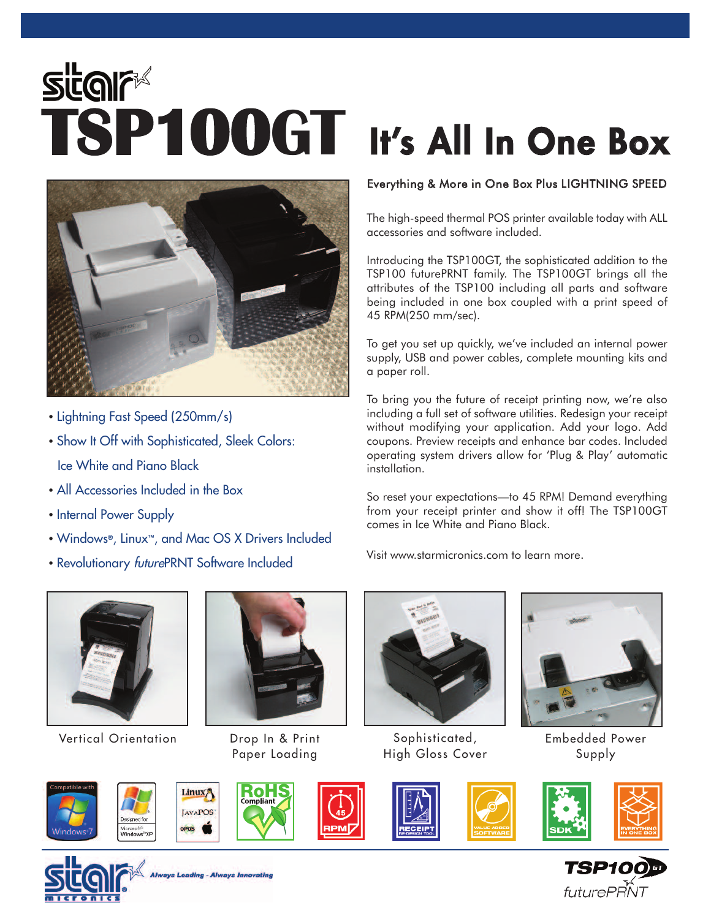## Star<sup>e</sup><br>**TSP100GT** It's All In One Box



- Lightning Fast Speed (250mm/s)
- Show It Off with Sophisticated, Sleek Colors: Ice White and Piano Black
- All Accessories Included in the Box
- Internal Power Supply
- Windows®, Linux™, and Mac OS X Drivers Included
- Revolutionary *future*PRNT Software Included



Vertical Orientation Drop In & Print



Paper Loading

łО

## Everything & More in One Box Plus LIGHTNING SPEED

The high-speed thermal POS printer available today with ALL accessories and software included.

Introducing the TSP100GT, the sophisticated addition to the TSP100 futurePRNT family. The TSP100GT brings all the attributes of the TSP100 including all parts and software being included in one box coupled with a print speed of 45 RPM(250 mm/sec).

To get you set up quickly, we've included an internal power supply, USB and power cables, complete mounting kits and a paper roll.

To bring you the future of receipt printing now, we're also including a full set of software utilities. Redesign your receipt without modifying your application. Add your logo. Add coupons. Preview receipts and enhance bar codes. Included operating system drivers allow for 'Plug & Play' automatic installation.

So reset your expectations—to 45 RPM! Demand everything from your receipt printer and show it off! The TSP100GT comes in Ice White and Piano Black.

Visit www.starmicronics.com to learn more.



Sophisticated, High Gloss Cover



Embedded Power Supply